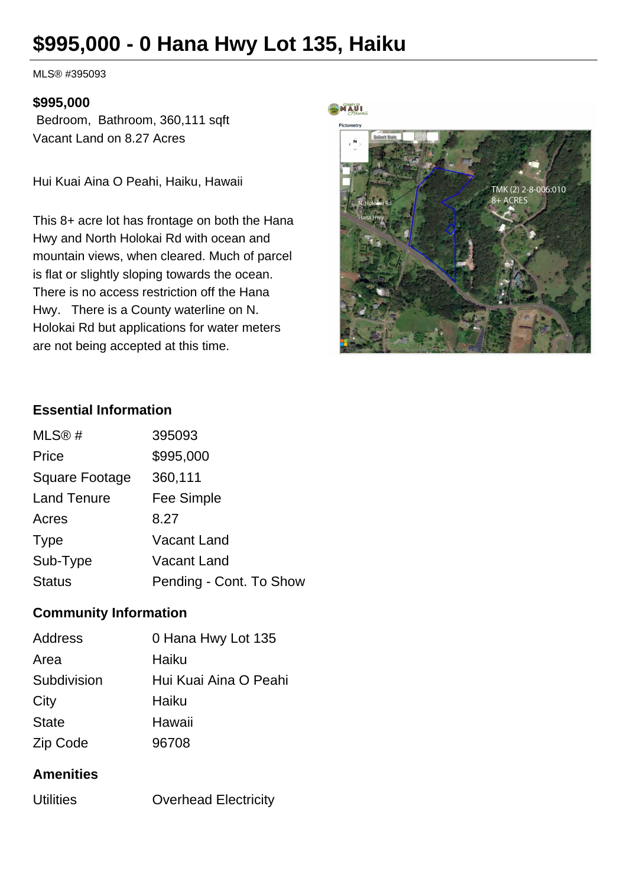# **\$995,000 - 0 Hana Hwy Lot 135, Haiku**

MLS® #395093

#### **\$995,000**

 Bedroom, Bathroom, 360,111 sqft Vacant Land on 8.27 Acres

Hui Kuai Aina O Peahi, Haiku, Hawaii

This 8+ acre lot has frontage on both the Hana Hwy and North Holokai Rd with ocean and mountain views, when cleared. Much of parcel is flat or slightly sloping towards the ocean. There is no access restriction off the Hana Hwy. There is a County waterline on N. Holokai Rd but applications for water meters are not being accepted at this time.

#### MAUI



#### **Essential Information**

| MLS@#              | 395093                  |
|--------------------|-------------------------|
| Price              | \$995,000               |
| Square Footage     | 360,111                 |
| <b>Land Tenure</b> | Fee Simple              |
| Acres              | 8.27                    |
| <b>Type</b>        | Vacant Land             |
| Sub-Type           | Vacant Land             |
| <b>Status</b>      | Pending - Cont. To Show |

### **Community Information**

| <b>Address</b> | 0 Hana Hwy Lot 135    |
|----------------|-----------------------|
| Area           | Haiku                 |
| Subdivision    | Hui Kuai Aina O Peahi |
| City           | Haiku                 |
| <b>State</b>   | Hawaii                |
| Zip Code       | 96708                 |

### **Amenities**

| <b>Utilities</b> | <b>Overhead Electricity</b> |
|------------------|-----------------------------|
|------------------|-----------------------------|